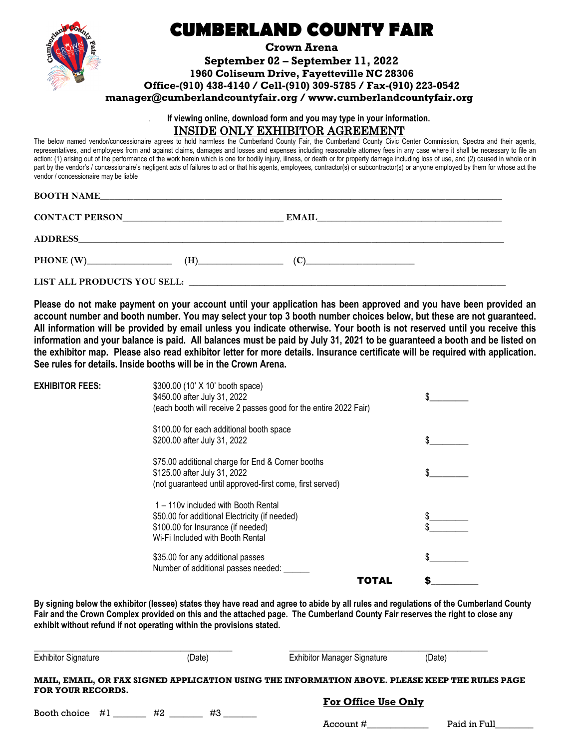

## **CUMBERLAND COUNTY FAIR**

**Crown Arena**

**September 02 – September 11, 2022** 

**1960 Coliseum Drive, Fayetteville NC 28306**

**Office-(910) 438-4140 / Cell-(910) 309-5785 / Fax-(910) 223-0542**

**manager@cumberlandcountyfair.org / www.cumberlandcountyfair.org**

. **If viewing online, download form and you may type in your information.** INSIDE ONLY EXHIBITOR AGREEMENT

The below named vendor/concessionaire agrees to hold harmless the Cumberland County Fair, the Cumberland County Civic Center Commission, Spectra and their agents, representatives, and employees from and against claims, damages and losses and expenses including reasonable attorney fees in any case where it shall be necessary to file an action: (1) arising out of the performance of the work herein which is one for bodily injury, illness, or death or for property damage including loss of use, and (2) caused in whole or in part by the vendor's / concessionaire's negligent acts of failures to act or that his agents, employees, contractor(s) or subcontractor(s) or anyone employed by them for whose act the vendor / concessionaire may be liable

| <b>BOOTH NAME</b> |  |  |  |
|-------------------|--|--|--|
|                   |  |  |  |

| <b>CONTACT PERSON</b>              |     | <b>EMAIL</b> |  |
|------------------------------------|-----|--------------|--|
| <b>ADDRESS</b>                     |     |              |  |
| <b>PHONE (W)__________________</b> | (H) |              |  |
| LIST ALL PRODUCTS YOU SELL:        |     |              |  |

**Please do not make payment on your account until your application has been approved and you have been provided an account number and booth number. You may select your top 3 booth number choices below, but these are not guaranteed. All information will be provided by email unless you indicate otherwise. Your booth is not reserved until you receive this information and your balance is paid. All balances must be paid by July 31, 2021 to be guaranteed a booth and be listed on the exhibitor map. Please also read exhibitor letter for more details. Insurance certificate will be required with application. See rules for details. Inside booths will be in the Crown Arena.** 

| <b>EXHIBITOR FEES:</b> | \$300.00 (10' X 10' booth space)<br>\$450.00 after July 31, 2022<br>(each booth will receive 2 passes good for the entire 2022 Fair)                            |  |
|------------------------|-----------------------------------------------------------------------------------------------------------------------------------------------------------------|--|
|                        | \$100.00 for each additional booth space<br>\$200.00 after July 31, 2022                                                                                        |  |
|                        | \$75.00 additional charge for End & Corner booths<br>\$125.00 after July 31, 2022<br>(not guaranteed until approved-first come, first served)                   |  |
|                        | 1 – 110y included with Booth Rental<br>\$50.00 for additional Electricity (if needed)<br>\$100.00 for Insurance (if needed)<br>Wi-Fi Included with Booth Rental |  |
|                        | \$35.00 for any additional passes<br>Number of additional passes needed: ____                                                                                   |  |
|                        | TOTAL                                                                                                                                                           |  |

**By signing below the exhibitor (lessee) states they have read and agree to abide by all rules and regulations of the Cumberland County Fair and the Crown Complex provided on this and the attached page. The Cumberland County Fair reserves the right to close any exhibit without refund if not operating within the provisions stated.** 

| <b>Exhibitor Signature</b> | (Date)   | <b>Exhibitor Manager Signature</b>                                                             | (Date)       |
|----------------------------|----------|------------------------------------------------------------------------------------------------|--------------|
| <b>FOR YOUR RECORDS.</b>   |          | MAIL, EMAIL, OR FAX SIGNED APPLICATION USING THE INFORMATION ABOVE. PLEASE KEEP THE RULES PAGE |              |
|                            |          | <b>For Office Use Only</b>                                                                     |              |
| Booth choice $#l$          | #3<br>#2 | Account #                                                                                      | Paid in Full |